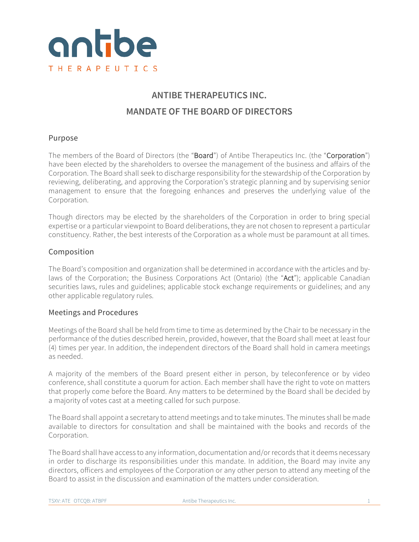

# **ANTIBE THERAPEUTICS INC. MANDATE OF THE BOARD OF DIRECTORS**

# Purpose

The members of the Board of Directors (the "Board") of Antibe Therapeutics Inc. (the "Corporation") have been elected by the shareholders to oversee the management of the business and affairs of the Corporation. The Board shall seek to discharge responsibility for the stewardship of the Corporation by reviewing, deliberating, and approving the Corporation's strategic planning and by supervising senior management to ensure that the foregoing enhances and preserves the underlying value of the Corporation.

Though directors may be elected by the shareholders of the Corporation in order to bring special expertise or a particular viewpoint to Board deliberations, they are not chosen to represent a particular constituency. Rather, the best interests of the Corporation as a whole must be paramount at all times.

# Composition

The Board's composition and organization shall be determined in accordance with the articles and bylaws of the Corporation; the Business Corporations Act (Ontario) (the "Act"); applicable Canadian securities laws, rules and guidelines; applicable stock exchange requirements or guidelines; and any other applicable regulatory rules.

# Meetings and Procedures

Meetings of the Board shall be held from time to time as determined by the Chair to be necessary in the performance of the duties described herein, provided, however, that the Board shall meet at least four (4) times per year. In addition, the independent directors of the Board shall hold in camera meetings as needed.

A majority of the members of the Board present either in person, by teleconference or by video conference, shall constitute a quorum for action. Each member shall have the right to vote on matters that properly come before the Board. Any matters to be determined by the Board shall be decided by a majority of votes cast at a meeting called for such purpose.

The Board shall appoint a secretary to attend meetings and to take minutes. The minutes shall be made available to directors for consultation and shall be maintained with the books and records of the Corporation.

The Board shall have access to any information, documentation and/or records that it deems necessary in order to discharge its responsibilities under this mandate. In addition, the Board may invite any directors, officers and employees of the Corporation or any other person to attend any meeting of the Board to assist in the discussion and examination of the matters under consideration.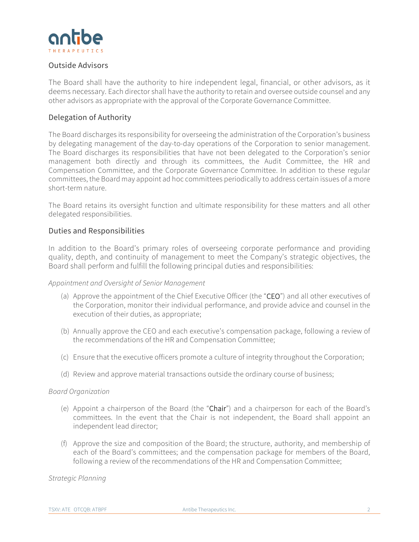

# Outside Advisors

The Board shall have the authority to hire independent legal, financial, or other advisors, as it deems necessary. Each director shall have the authority to retain and oversee outside counsel and any other advisors as appropriate with the approval of the Corporate Governance Committee.

## Delegation of Authority

The Board discharges its responsibility for overseeing the administration of the Corporation's business by delegating management of the day-to-day operations of the Corporation to senior management. The Board discharges its responsibilities that have not been delegated to the Corporation's senior management both directly and through its committees, the Audit Committee, the HR and Compensation Committee, and the Corporate Governance Committee. In addition to these regular committees, the Board may appoint ad hoc committees periodically to address certain issues of a more short-term nature.

The Board retains its oversight function and ultimate responsibility for these matters and all other delegated responsibilities.

## Duties and Responsibilities

In addition to the Board's primary roles of overseeing corporate performance and providing quality, depth, and continuity of management to meet the Company's strategic objectives, the Board shall perform and fulfill the following principal duties and responsibilities:

#### *Appointment and Oversight of Senior Management*

- (a) Approve the appointment of the Chief Executive Officer (the "CEO") and all other executives of the Corporation, monitor their individual performance, and provide advice and counsel in the execution of their duties, as appropriate;
- (b) Annually approve the CEO and each executive's compensation package, following a review of the recommendations of the HR and Compensation Committee;
- (c) Ensure that the executive officers promote a culture of integrity throughout the Corporation;
- (d) Review and approve material transactions outside the ordinary course of business;

## *Board Organization*

- (e) Appoint a chairperson of the Board (the "Chair") and a chairperson for each of the Board's committees. In the event that the Chair is not independent, the Board shall appoint an independent lead director;
- (f) Approve the size and composition of the Board; the structure, authority, and membership of each of the Board's committees; and the compensation package for members of the Board, following a review of the recommendations of the HR and Compensation Committee;

## *Strategic Planning*

TSXV: ATE OTCOB: ATBPF **Antibe Therapeutics Inc.** 2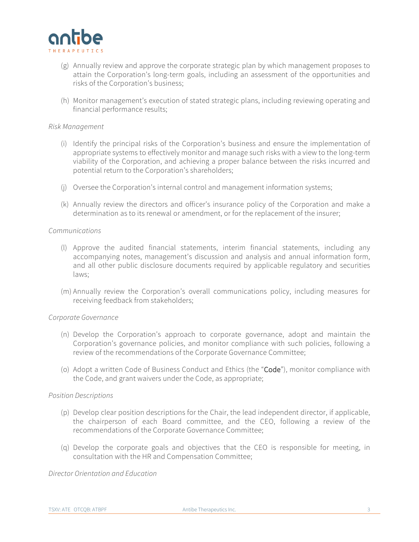

- (g) Annually review and approve the corporate strategic plan by which management proposes to attain the Corporation's long-term goals, including an assessment of the opportunities and risks of the Corporation's business;
- (h) Monitor management's execution of stated strategic plans, including reviewing operating and financial performance results;

#### *Risk Management*

- (i) Identify the principal risks of the Corporation's business and ensure the implementation of appropriate systems to effectively monitor and manage such risks with a view to the long-term viability of the Corporation, and achieving a proper balance between the risks incurred and potential return to the Corporation's shareholders;
- (j) Oversee the Corporation's internal control and management information systems;
- (k) Annually review the directors and officer's insurance policy of the Corporation and make a determination as to its renewal or amendment, or for the replacement of the insurer;

#### *Communications*

- (l) Approve the audited financial statements, interim financial statements, including any accompanying notes, management's discussion and analysis and annual information form, and all other public disclosure documents required by applicable regulatory and securities laws;
- (m) Annually review the Corporation's overall communications policy, including measures for receiving feedback from stakeholders;

#### *Corporate Governance*

- (n) Develop the Corporation's approach to corporate governance, adopt and maintain the Corporation's governance policies, and monitor compliance with such policies, following a review of the recommendations of the Corporate Governance Committee;
- (o) Adopt a written Code of Business Conduct and Ethics (the "Code"), monitor compliance with the Code, and grant waivers under the Code, as appropriate;

#### *Position Descriptions*

- (p) Develop clear position descriptions for the Chair, the lead independent director, if applicable, the chairperson of each Board committee, and the CEO, following a review of the recommendations of the Corporate Governance Committee;
- (q) Develop the corporate goals and objectives that the CEO is responsible for meeting, in consultation with the HR and Compensation Committee;

### *Director Orientation and Education*

TSXV: ATE OTCOB: ATBPF Antibe Therapeutics Inc. Antibe Therapeutics Inc. 3